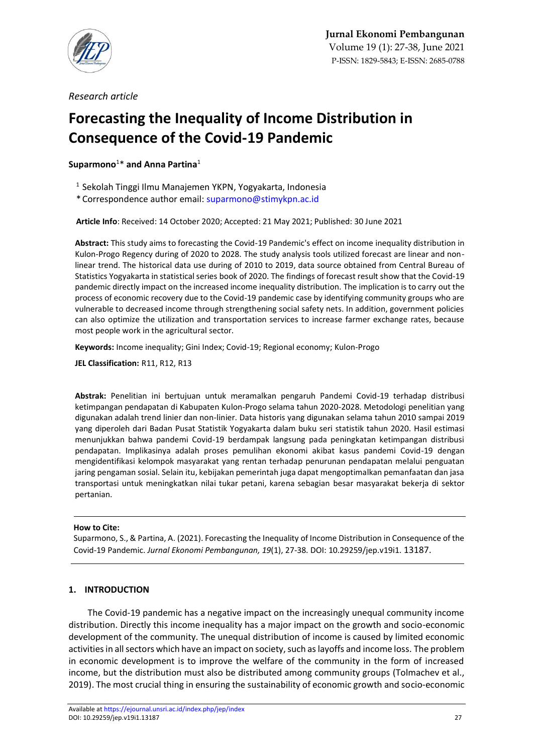

*Research article*

# **Forecasting the Inequality of Income Distribution in Consequence of the Covid-19 Pandemic**

**Suparmono**<sup>1</sup>\* **and Anna Partina**<sup>1</sup>

- 1 Sekolah Tinggi Ilmu Manajemen YKPN, Yogyakarta, Indonesia
- \* Correspondence author email[: suparmono@stimykpn.ac.id](mailto:suparmono@stimykpn.ac.id)

**Article Info**: Received: 14 October 2020; Accepted: 21 May 2021; Published: 30 June 2021

**Abstract:** This study aims to forecasting the Covid-19 Pandemic's effect on income inequality distribution in Kulon-Progo Regency during of 2020 to 2028. The study analysis tools utilized forecast are linear and nonlinear trend. The historical data use during of 2010 to 2019, data source obtained from Central Bureau of Statistics Yogyakarta in statistical series book of 2020. The findings of forecast result show that the Covid-19 pandemic directly impact on the increased income inequality distribution. The implication is to carry out the process of economic recovery due to the Covid-19 pandemic case by identifying community groups who are vulnerable to decreased income through strengthening social safety nets. In addition, government policies can also optimize the utilization and transportation services to increase farmer exchange rates, because most people work in the agricultural sector.

**Keywords:** Income inequality; Gini Index; Covid-19; Regional economy; Kulon-Progo

**JEL Classification:** R11, R12, R13

**Abstrak:** Penelitian ini bertujuan untuk meramalkan pengaruh Pandemi Covid-19 terhadap distribusi ketimpangan pendapatan di Kabupaten Kulon-Progo selama tahun 2020-2028. Metodologi penelitian yang digunakan adalah trend linier dan non-linier. Data historis yang digunakan selama tahun 2010 sampai 2019 yang diperoleh dari Badan Pusat Statistik Yogyakarta dalam buku seri statistik tahun 2020. Hasil estimasi menunjukkan bahwa pandemi Covid-19 berdampak langsung pada peningkatan ketimpangan distribusi pendapatan. Implikasinya adalah proses pemulihan ekonomi akibat kasus pandemi Covid-19 dengan mengidentifikasi kelompok masyarakat yang rentan terhadap penurunan pendapatan melalui penguatan jaring pengaman sosial. Selain itu, kebijakan pemerintah juga dapat mengoptimalkan pemanfaatan dan jasa transportasi untuk meningkatkan nilai tukar petani, karena sebagian besar masyarakat bekerja di sektor pertanian.

### **How to Cite:**

Suparmono, S., & Partina, A. (2021). Forecasting the Inequality of Income Distribution in Consequence of the Covid-19 Pandemic. *Jurnal Ekonomi Pembangunan, 19*(1), 27-38. DOI: 10.29259/jep.v19i1. 13187.

## **1. INTRODUCTION**

The Covid-19 pandemic has a negative impact on the increasingly unequal community income distribution. Directly this income inequality has a major impact on the growth and socio-economic development of the community. The unequal distribution of income is caused by limited economic activities in all sectors which have an impact on society, such as layoffs and income loss. The problem in economic development is to improve the welfare of the community in the form of increased income, but the distribution must also be distributed among community groups (Tolmachev et al., 2019). The most crucial thing in ensuring the sustainability of economic growth and socio-economic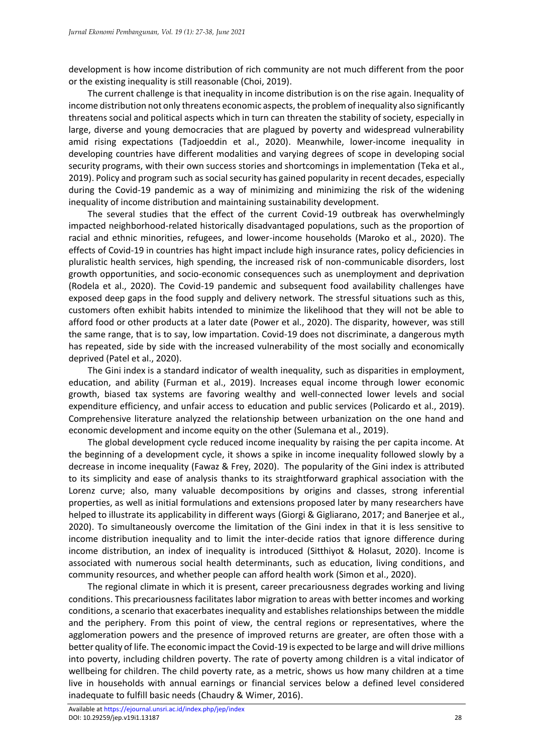development is how income distribution of rich community are not much different from the poor or the existing inequality is still reasonable (Choi, 2019).

The current challenge is that inequality in income distribution is on the rise again. Inequality of income distribution not only threatens economic aspects, the problem of inequality also significantly threatens social and political aspects which in turn can threaten the stability of society, especially in large, diverse and young democracies that are plagued by poverty and widespread vulnerability amid rising expectations (Tadjoeddin et al., 2020). Meanwhile, lower-income inequality in developing countries have different modalities and varying degrees of scope in developing social security programs, with their own success stories and shortcomings in implementation (Teka et al., 2019). Policy and program such as social security has gained popularity in recent decades, especially during the Covid-19 pandemic as a way of minimizing and minimizing the risk of the widening inequality of income distribution and maintaining sustainability development.

The several studies that the effect of the current Covid-19 outbreak has overwhelmingly impacted neighborhood-related historically disadvantaged populations, such as the proportion of racial and ethnic minorities, refugees, and lower-income households (Maroko et al., 2020). The effects of Covid-19 in countries has hight impact include high insurance rates, policy deficiencies in pluralistic health services, high spending, the increased risk of non-communicable disorders, lost growth opportunities, and socio-economic consequences such as unemployment and deprivation (Rodela et al., 2020). The Covid-19 pandemic and subsequent food availability challenges have exposed deep gaps in the food supply and delivery network. The stressful situations such as this, customers often exhibit habits intended to minimize the likelihood that they will not be able to afford food or other products at a later date (Power et al., 2020). The disparity, however, was still the same range, that is to say, low impartation. Covid-19 does not discriminate, a dangerous myth has repeated, side by side with the increased vulnerability of the most socially and economically deprived (Patel et al., 2020).

The Gini index is a standard indicator of wealth inequality, such as disparities in employment, education, and ability (Furman et al., 2019). Increases equal income through lower economic growth, biased tax systems are favoring wealthy and well-connected lower levels and social expenditure efficiency, and unfair access to education and public services (Policardo et al., 2019). Comprehensive literature analyzed the relationship between urbanization on the one hand and economic development and income equity on the other (Sulemana et al., 2019).

The global development cycle reduced income inequality by raising the per capita income. At the beginning of a development cycle, it shows a spike in income inequality followed slowly by a decrease in income inequality (Fawaz & Frey, 2020). The popularity of the Gini index is attributed to its simplicity and ease of analysis thanks to its straightforward graphical association with the Lorenz curve; also, many valuable decompositions by origins and classes, strong inferential properties, as well as initial formulations and extensions proposed later by many researchers have helped to illustrate its applicability in different ways (Giorgi & Gigliarano, 2017; and Banerjee et al., 2020). To simultaneously overcome the limitation of the Gini index in that it is less sensitive to income distribution inequality and to limit the inter-decide ratios that ignore difference during income distribution, an index of inequality is introduced (Sitthiyot & Holasut, 2020). Income is associated with numerous social health determinants, such as education, living conditions, and community resources, and whether people can afford health work (Simon et al., 2020).

The regional climate in which it is present, career precariousness degrades working and living conditions. This precariousness facilitates labor migration to areas with better incomes and working conditions, a scenario that exacerbates inequality and establishes relationships between the middle and the periphery. From this point of view, the central regions or representatives, where the agglomeration powers and the presence of improved returns are greater, are often those with a better quality of life. The economic impact the Covid-19 is expected to be large and will drive millions into poverty, including children poverty. The rate of poverty among children is a vital indicator of wellbeing for children. The child poverty rate, as a metric, shows us how many children at a time live in households with annual earnings or financial services below a defined level considered inadequate to fulfill basic needs (Chaudry & Wimer, 2016).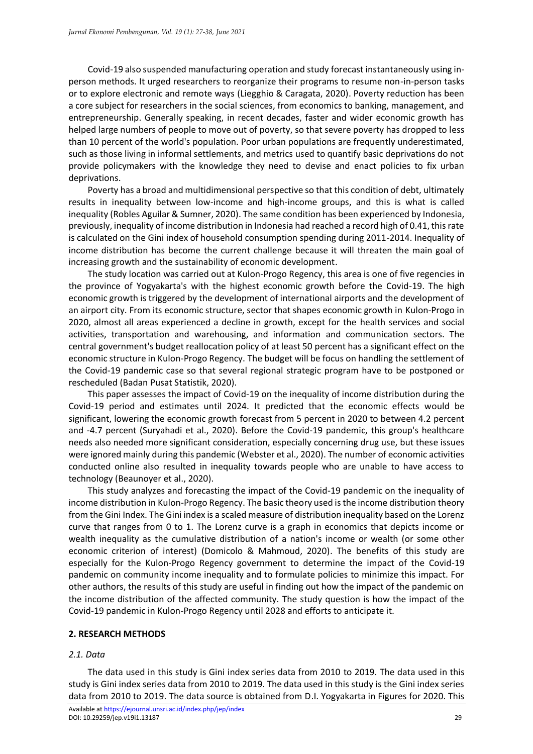Covid-19 also suspended manufacturing operation and study forecast instantaneously using inperson methods. It urged researchers to reorganize their programs to resume non-in-person tasks or to explore electronic and remote ways (Liegghio & Caragata, 2020). Poverty reduction has been a core subject for researchers in the social sciences, from economics to banking, management, and entrepreneurship. Generally speaking, in recent decades, faster and wider economic growth has helped large numbers of people to move out of poverty, so that severe poverty has dropped to less than 10 percent of the world's population. Poor urban populations are frequently underestimated, such as those living in informal settlements, and metrics used to quantify basic deprivations do not provide policymakers with the knowledge they need to devise and enact policies to fix urban deprivations.

Poverty has a broad and multidimensional perspective so that this condition of debt, ultimately results in inequality between low-income and high-income groups, and this is what is called inequality (Robles Aguilar & Sumner, 2020). The same condition has been experienced by Indonesia, previously, inequality of income distribution in Indonesia had reached a record high of 0.41, this rate is calculated on the Gini index of household consumption spending during 2011-2014. Inequality of income distribution has become the current challenge because it will threaten the main goal of increasing growth and the sustainability of economic development.

The study location was carried out at Kulon-Progo Regency, this area is one of five regencies in the province of Yogyakarta's with the highest economic growth before the Covid-19. The high economic growth is triggered by the development of international airports and the development of an airport city. From its economic structure, sector that shapes economic growth in Kulon-Progo in 2020, almost all areas experienced a decline in growth, except for the health services and social activities, transportation and warehousing, and information and communication sectors. The central government's budget reallocation policy of at least 50 percent has a significant effect on the economic structure in Kulon-Progo Regency. The budget will be focus on handling the settlement of the Covid-19 pandemic case so that several regional strategic program have to be postponed or rescheduled (Badan Pusat Statistik, 2020).

This paper assesses the impact of Covid-19 on the inequality of income distribution during the Covid-19 period and estimates until 2024. It predicted that the economic effects would be significant, lowering the economic growth forecast from 5 percent in 2020 to between 4.2 percent and -4.7 percent (Suryahadi et al., 2020). Before the Covid-19 pandemic, this group's healthcare needs also needed more significant consideration, especially concerning drug use, but these issues were ignored mainly during this pandemic (Webster et al., 2020). The number of economic activities conducted online also resulted in inequality towards people who are unable to have access to technology (Beaunoyer et al., 2020).

This study analyzes and forecasting the impact of the Covid-19 pandemic on the inequality of income distribution in Kulon-Progo Regency. The basic theory used is the income distribution theory from the Gini Index. The Gini index is a scaled measure of distribution inequality based on the Lorenz curve that ranges from 0 to 1. The Lorenz curve is a graph in economics that depicts income or wealth inequality as the cumulative distribution of a nation's income or wealth (or some other economic criterion of interest) (Domicolo & Mahmoud, 2020). The benefits of this study are especially for the Kulon-Progo Regency government to determine the impact of the Covid-19 pandemic on community income inequality and to formulate policies to minimize this impact. For other authors, the results of this study are useful in finding out how the impact of the pandemic on the income distribution of the affected community. The study question is how the impact of the Covid-19 pandemic in Kulon-Progo Regency until 2028 and efforts to anticipate it.

#### **2. RESEARCH METHODS**

#### *2.1. Data*

The data used in this study is Gini index series data from 2010 to 2019. The data used in this study is Gini index series data from 2010 to 2019. The data used in this study is the Gini index series data from 2010 to 2019. The data source is obtained from D.I. Yogyakarta in Figures for 2020. This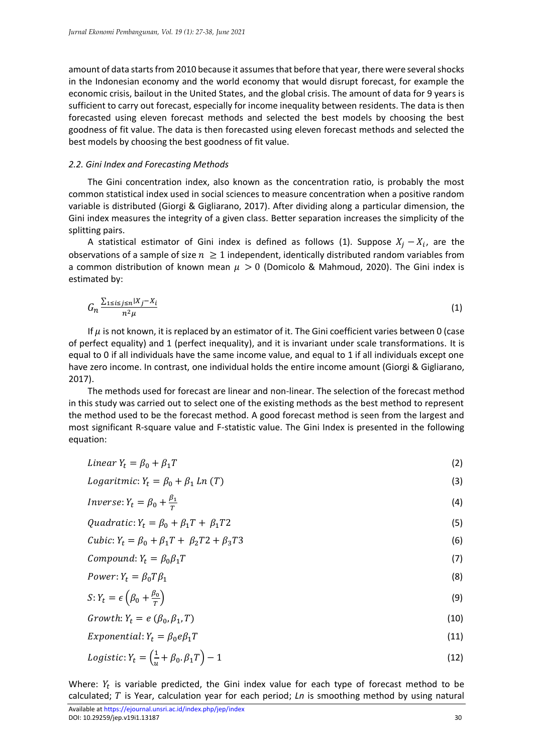amount of data starts from 2010 because it assumes that before that year, there were several shocks in the Indonesian economy and the world economy that would disrupt forecast, for example the economic crisis, bailout in the United States, and the global crisis. The amount of data for 9 years is sufficient to carry out forecast, especially for income inequality between residents. The data is then forecasted using eleven forecast methods and selected the best models by choosing the best goodness of fit value. The data is then forecasted using eleven forecast methods and selected the best models by choosing the best goodness of fit value.

#### *2.2. Gini Index and Forecasting Methods*

The Gini concentration index, also known as the concentration ratio, is probably the most common statistical index used in social sciences to measure concentration when a positive random variable is distributed (Giorgi & Gigliarano, 2017). After dividing along a particular dimension, the Gini index measures the integrity of a given class. Better separation increases the simplicity of the splitting pairs.

A statistical estimator of Gini index is defined as follows (1). Suppose  $X_j - X_i$ , are the observations of a sample of size  $n \geq 1$  independent, identically distributed random variables from a common distribution of known mean  $\mu > 0$  (Domicolo & Mahmoud, 2020). The Gini index is estimated by:

$$
G_n \frac{\sum_{1 \le i \le j \le n} |X_j - X_i|}{n^2 \mu} \tag{1}
$$

If  $\mu$  is not known, it is replaced by an estimator of it. The Gini coefficient varies between 0 (case of perfect equality) and 1 (perfect inequality), and it is invariant under scale transformations. It is equal to 0 if all individuals have the same income value, and equal to 1 if all individuals except one have zero income. In contrast, one individual holds the entire income amount (Giorgi & Gigliarano, 2017).

The methods used for forecast are linear and non-linear. The selection of the forecast method in this study was carried out to select one of the existing methods as the best method to represent the method used to be the forecast method. A good forecast method is seen from the largest and most significant R-square value and F-statistic value. The Gini Index is presented in the following equation:

$$
Linear Y_t = \beta_0 + \beta_1 T \tag{2}
$$

Logaritmic: 
$$
Y_t = \beta_0 + \beta_1 Ln(T)
$$
 (3)

$$
Inverse: Y_t = \beta_0 + \frac{\beta_1}{T} \tag{4}
$$

Quadratic:  $Y_t = \beta_0 + \beta_1 T + \beta_1 T^2$  (5)

Cubic: 
$$
Y_t = \beta_0 + \beta_1 T + \beta_2 T2 + \beta_3 T3
$$
 (6)

$$
Compound: Y_t = \beta_0 \beta_1 T \tag{7}
$$

$$
Power: Y_t = \beta_0 T \beta_1 \tag{8}
$$

$$
S: Y_t = \epsilon \left( \beta_0 + \frac{\beta_0}{T} \right) \tag{9}
$$

$$
Growth: Y_t = e\left(\beta_0, \beta_1, T\right) \tag{10}
$$

$$
Exponential: Y_t = \beta_0 e \beta_1 T \tag{11}
$$

$$
Logistic: Y_t = \left(\frac{1}{u} + \beta_0 \cdot \beta_1 T\right) - 1\tag{12}
$$

Where:  $Y_t$  is variable predicted, the Gini index value for each type of forecast method to be calculated; T is Year, calculation year for each period; *Ln* is smoothing method by using natural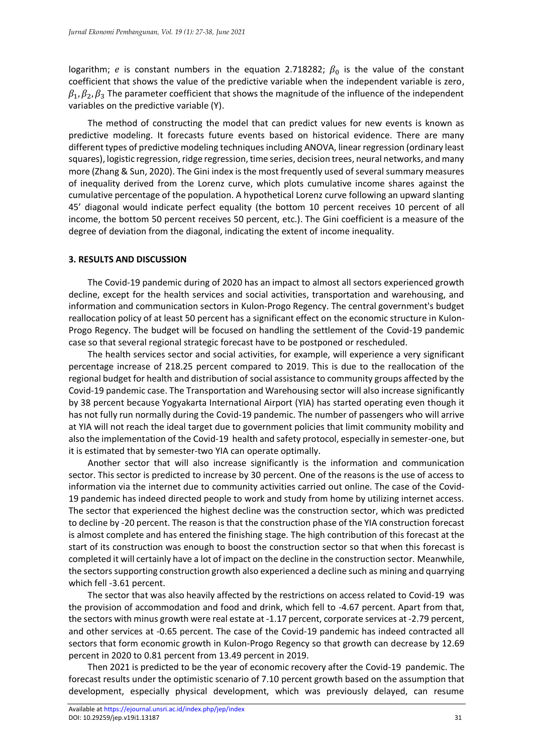logarithm; e is constant numbers in the equation 2.718282;  $\beta_0$  is the value of the constant coefficient that shows the value of the predictive variable when the independent variable is zero,  $\beta_1$ ,  $\beta_2$ ,  $\beta_3$  The parameter coefficient that shows the magnitude of the influence of the independent variables on the predictive variable (Y).

The method of constructing the model that can predict values for new events is known as predictive modeling. It forecasts future events based on historical evidence. There are many different types of predictive modeling techniques including ANOVA, linear regression (ordinary least squares), logistic regression, ridge regression, time series, decision trees, neural networks, and many more (Zhang & Sun, 2020). The Gini index is the most frequently used of several summary measures of inequality derived from the Lorenz curve, which plots cumulative income shares against the cumulative percentage of the population. A hypothetical Lorenz curve following an upward slanting 45' diagonal would indicate perfect equality (the bottom 10 percent receives 10 percent of all income, the bottom 50 percent receives 50 percent, etc.). The Gini coefficient is a measure of the degree of deviation from the diagonal, indicating the extent of income inequality.

#### **3. RESULTS AND DISCUSSION**

The Covid-19 pandemic during of 2020 has an impact to almost all sectors experienced growth decline, except for the health services and social activities, transportation and warehousing, and information and communication sectors in Kulon-Progo Regency. The central government's budget reallocation policy of at least 50 percent has a significant effect on the economic structure in Kulon-Progo Regency. The budget will be focused on handling the settlement of the Covid-19 pandemic case so that several regional strategic forecast have to be postponed or rescheduled.

The health services sector and social activities, for example, will experience a very significant percentage increase of 218.25 percent compared to 2019. This is due to the reallocation of the regional budget for health and distribution of social assistance to community groups affected by the Covid-19 pandemic case. The Transportation and Warehousing sector will also increase significantly by 38 percent because Yogyakarta International Airport (YIA) has started operating even though it has not fully run normally during the Covid-19 pandemic. The number of passengers who will arrive at YIA will not reach the ideal target due to government policies that limit community mobility and also the implementation of the Covid-19 health and safety protocol, especially in semester-one, but it is estimated that by semester-two YIA can operate optimally.

Another sector that will also increase significantly is the information and communication sector. This sector is predicted to increase by 30 percent. One of the reasons is the use of access to information via the internet due to community activities carried out online. The case of the Covid-19 pandemic has indeed directed people to work and study from home by utilizing internet access. The sector that experienced the highest decline was the construction sector, which was predicted to decline by -20 percent. The reason is that the construction phase of the YIA construction forecast is almost complete and has entered the finishing stage. The high contribution of this forecast at the start of its construction was enough to boost the construction sector so that when this forecast is completed it will certainly have a lot of impact on the decline in the construction sector. Meanwhile, the sectors supporting construction growth also experienced a decline such as mining and quarrying which fell -3.61 percent.

The sector that was also heavily affected by the restrictions on access related to Covid-19 was the provision of accommodation and food and drink, which fell to -4.67 percent. Apart from that, the sectors with minus growth were real estate at -1.17 percent, corporate services at -2.79 percent, and other services at -0.65 percent. The case of the Covid-19 pandemic has indeed contracted all sectors that form economic growth in Kulon-Progo Regency so that growth can decrease by 12.69 percent in 2020 to 0.81 percent from 13.49 percent in 2019.

Then 2021 is predicted to be the year of economic recovery after the Covid-19 pandemic. The forecast results under the optimistic scenario of 7.10 percent growth based on the assumption that development, especially physical development, which was previously delayed, can resume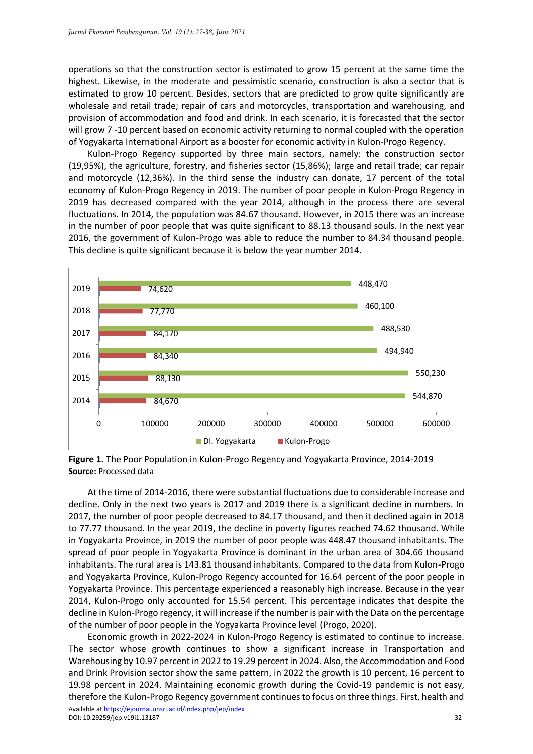operations so that the construction sector is estimated to grow 15 percent at the same time the highest. Likewise, in the moderate and pessimistic scenario, construction is also a sector that is estimated to grow 10 percent. Besides, sectors that are predicted to grow quite significantly are wholesale and retail trade; repair of cars and motorcycles, transportation and warehousing, and provision of accommodation and food and drink. In each scenario, it is forecasted that the sector will grow 7 -10 percent based on economic activity returning to normal coupled with the operation of Yogyakarta International Airport as a booster for economic activity in Kulon-Progo Regency.

Kulon-Progo Regency supported by three main sectors, namely: the construction sector (19,95%), the agriculture, forestry, and fisheries sector (15,86%); large and retail trade; car repair and motorcycle (12,36%). In the third sense the industry can donate, 17 percent of the total economy of Kulon-Progo Regency in 2019. The number of poor people in Kulon-Progo Regency in 2019 has decreased compared with the year 2014, although in the process there are several fluctuations. In 2014, the population was 84.67 thousand. However, in 2015 there was an increase in the number of poor people that was quite significant to 88.13 thousand souls. In the next year 2016, the government of Kulon-Progo was able to reduce the number to 84.34 thousand people. This decline is quite significant because it is below the year number 2014.



**Figure 1.** The Poor Population in Kulon-Progo Regency and Yogyakarta Province, 2014-2019 **Source:** Processed data

At the time of 2014-2016, there were substantial fluctuations due to considerable increase and decline. Only in the next two years is 2017 and 2019 there is a significant decline in numbers. In 2017, the number of poor people decreased to 84.17 thousand, and then it declined again in 2018 to 77.77 thousand. In the year 2019, the decline in poverty figures reached 74.62 thousand. While in Yogyakarta Province, in 2019 the number of poor people was 448.47 thousand inhabitants. The spread of poor people in Yogyakarta Province is dominant in the urban area of 304.66 thousand inhabitants. The rural area is 143.81 thousand inhabitants. Compared to the data from Kulon-Progo and Yogyakarta Province, Kulon-Progo Regency accounted for 16.64 percent of the poor people in Yogyakarta Province. This percentage experienced a reasonably high increase. Because in the year 2014, Kulon-Progo only accounted for 15.54 percent. This percentage indicates that despite the decline in Kulon-Progo regency, it will increase if the number is pair with the Data on the percentage of the number of poor people in the Yogyakarta Province level (Progo, 2020).

Economic growth in 2022-2024 in Kulon-Progo Regency is estimated to continue to increase. The sector whose growth continues to show a significant increase in Transportation and Warehousing by 10.97 percent in 2022 to 19.29 percent in 2024. Also, the Accommodation and Food and Drink Provision sector show the same pattern, in 2022 the growth is 10 percent, 16 percent to 19.98 percent in 2024. Maintaining economic growth during the Covid-19 pandemic is not easy, therefore the Kulon-Progo Regency government continues to focus on three things. First, health and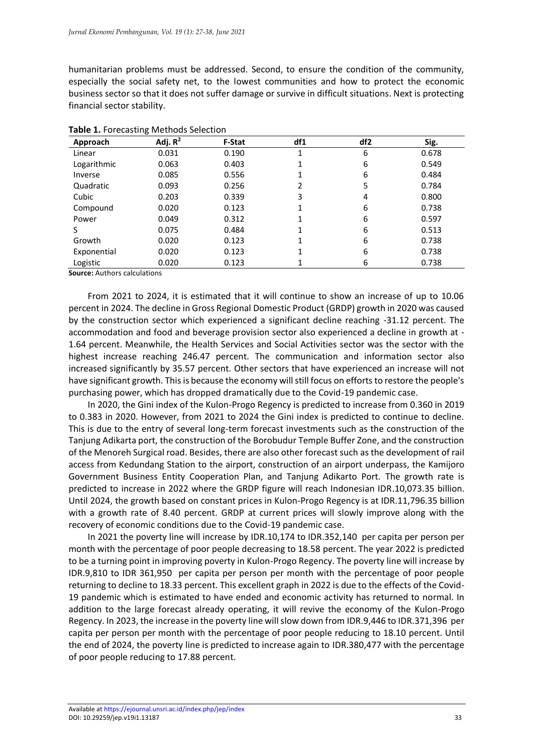humanitarian problems must be addressed. Second, to ensure the condition of the community, especially the social safety net, to the lowest communities and how to protect the economic business sector so that it does not suffer damage or survive in difficult situations. Next is protecting financial sector stability.

| Approach    | ັ<br>Adj. $R^2$ | <b>F-Stat</b> | df1 | df <sub>2</sub> | Sig.  |
|-------------|-----------------|---------------|-----|-----------------|-------|
| Linear      | 0.031           | 0.190         | 1   | 6               | 0.678 |
| Logarithmic | 0.063           | 0.403         |     | 6               | 0.549 |
| Inverse     | 0.085           | 0.556         |     | 6               | 0.484 |
| Quadratic   | 0.093           | 0.256         | 2   | 5               | 0.784 |
| Cubic       | 0.203           | 0.339         | 3   | 4               | 0.800 |
| Compound    | 0.020           | 0.123         | 1   | 6               | 0.738 |
| Power       | 0.049           | 0.312         | 1   | 6               | 0.597 |
| S           | 0.075           | 0.484         | 1   | 6               | 0.513 |
| Growth      | 0.020           | 0.123         | 1   | 6               | 0.738 |
| Exponential | 0.020           | 0.123         | 1   | 6               | 0.738 |
| Logistic    | 0.020           | 0.123         |     | 6               | 0.738 |

**Table 1.** Forecasting Methods Selection

**Source:** Authors calculations

From 2021 to 2024, it is estimated that it will continue to show an increase of up to 10.06 percent in 2024. The decline in Gross Regional Domestic Product (GRDP) growth in 2020 was caused by the construction sector which experienced a significant decline reaching -31.12 percent. The accommodation and food and beverage provision sector also experienced a decline in growth at - 1.64 percent. Meanwhile, the Health Services and Social Activities sector was the sector with the highest increase reaching 246.47 percent. The communication and information sector also increased significantly by 35.57 percent. Other sectors that have experienced an increase will not have significant growth. This is because the economy will still focus on efforts to restore the people's purchasing power, which has dropped dramatically due to the Covid-19 pandemic case.

In 2020, the Gini index of the Kulon-Progo Regency is predicted to increase from 0.360 in 2019 to 0.383 in 2020. However, from 2021 to 2024 the Gini index is predicted to continue to decline. This is due to the entry of several long-term forecast investments such as the construction of the Tanjung Adikarta port, the construction of the Borobudur Temple Buffer Zone, and the construction of the Menoreh Surgical road. Besides, there are also other forecast such as the development of rail access from Kedundang Station to the airport, construction of an airport underpass, the Kamijoro Government Business Entity Cooperation Plan, and Tanjung Adikarto Port. The growth rate is predicted to increase in 2022 where the GRDP figure will reach Indonesian IDR.10,073.35 billion. Until 2024, the growth based on constant prices in Kulon-Progo Regency is at IDR.11,796.35 billion with a growth rate of 8.40 percent. GRDP at current prices will slowly improve along with the recovery of economic conditions due to the Covid-19 pandemic case.

In 2021 the poverty line will increase by IDR.10,174 to IDR.352,140 per capita per person per month with the percentage of poor people decreasing to 18.58 percent. The year 2022 is predicted to be a turning point in improving poverty in Kulon-Progo Regency. The poverty line will increase by IDR.9,810 to IDR 361,950 per capita per person per month with the percentage of poor people returning to decline to 18.33 percent. This excellent graph in 2022 is due to the effects of the Covid-19 pandemic which is estimated to have ended and economic activity has returned to normal. In addition to the large forecast already operating, it will revive the economy of the Kulon-Progo Regency. In 2023, the increase in the poverty line will slow down from IDR.9,446 to IDR.371,396 per capita per person per month with the percentage of poor people reducing to 18.10 percent. Until the end of 2024, the poverty line is predicted to increase again to IDR.380,477 with the percentage of poor people reducing to 17.88 percent.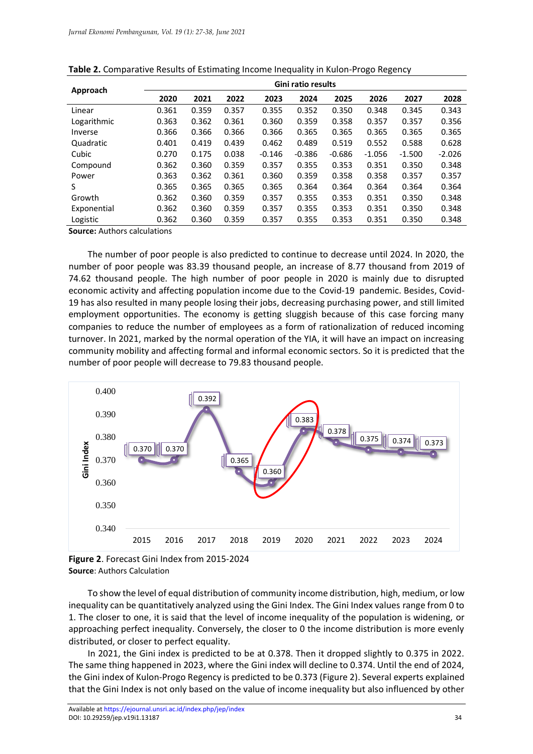|             | Gini ratio results |       |       |          |          |          |          |          |          |
|-------------|--------------------|-------|-------|----------|----------|----------|----------|----------|----------|
| Approach    | 2020               | 2021  | 2022  | 2023     | 2024     | 2025     | 2026     | 2027     | 2028     |
| Linear      | 0.361              | 0.359 | 0.357 | 0.355    | 0.352    | 0.350    | 0.348    | 0.345    | 0.343    |
| Logarithmic | 0.363              | 0.362 | 0.361 | 0.360    | 0.359    | 0.358    | 0.357    | 0.357    | 0.356    |
| Inverse     | 0.366              | 0.366 | 0.366 | 0.366    | 0.365    | 0.365    | 0.365    | 0.365    | 0.365    |
| Quadratic   | 0.401              | 0.419 | 0.439 | 0.462    | 0.489    | 0.519    | 0.552    | 0.588    | 0.628    |
| Cubic       | 0.270              | 0.175 | 0.038 | $-0.146$ | $-0.386$ | $-0.686$ | $-1.056$ | $-1.500$ | $-2.026$ |
| Compound    | 0.362              | 0.360 | 0.359 | 0.357    | 0.355    | 0.353    | 0.351    | 0.350    | 0.348    |
| Power       | 0.363              | 0.362 | 0.361 | 0.360    | 0.359    | 0.358    | 0.358    | 0.357    | 0.357    |
| S           | 0.365              | 0.365 | 0.365 | 0.365    | 0.364    | 0.364    | 0.364    | 0.364    | 0.364    |
| Growth      | 0.362              | 0.360 | 0.359 | 0.357    | 0.355    | 0.353    | 0.351    | 0.350    | 0.348    |
| Exponential | 0.362              | 0.360 | 0.359 | 0.357    | 0.355    | 0.353    | 0.351    | 0.350    | 0.348    |
| Logistic    | 0.362              | 0.360 | 0.359 | 0.357    | 0.355    | 0.353    | 0.351    | 0.350    | 0.348    |

| Table 2. Comparative Results of Estimating Income Inequality in Kulon-Progo Regency |  |  |  |
|-------------------------------------------------------------------------------------|--|--|--|
|-------------------------------------------------------------------------------------|--|--|--|

**Source:** Authors calculations

The number of poor people is also predicted to continue to decrease until 2024. In 2020, the number of poor people was 83.39 thousand people, an increase of 8.77 thousand from 2019 of 74.62 thousand people. The high number of poor people in 2020 is mainly due to disrupted economic activity and affecting population income due to the Covid-19 pandemic. Besides, Covid-19 has also resulted in many people losing their jobs, decreasing purchasing power, and still limited employment opportunities. The economy is getting sluggish because of this case forcing many companies to reduce the number of employees as a form of rationalization of reduced incoming turnover. In 2021, marked by the normal operation of the YIA, it will have an impact on increasing community mobility and affecting formal and informal economic sectors. So it is predicted that the number of poor people will decrease to 79.83 thousand people.



**Figure 2**. Forecast Gini Index from 2015-2024 **Source**: Authors Calculation

To show the level of equal distribution of community income distribution, high, medium, or low inequality can be quantitatively analyzed using the Gini Index. The Gini Index values range from 0 to 1. The closer to one, it is said that the level of income inequality of the population is widening, or approaching perfect inequality. Conversely, the closer to 0 the income distribution is more evenly distributed, or closer to perfect equality.

In 2021, the Gini index is predicted to be at 0.378. Then it dropped slightly to 0.375 in 2022. The same thing happened in 2023, where the Gini index will decline to 0.374. Until the end of 2024, the Gini index of Kulon-Progo Regency is predicted to be 0.373 (Figure 2). Several experts explained that the Gini Index is not only based on the value of income inequality but also influenced by other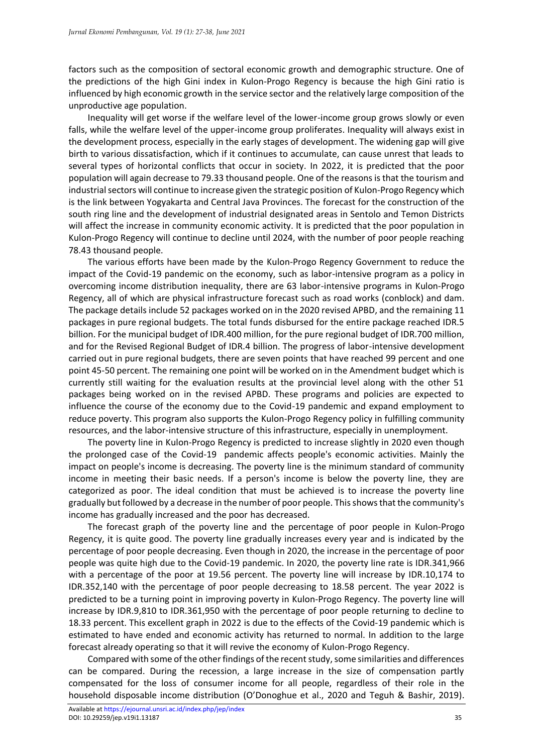factors such as the composition of sectoral economic growth and demographic structure. One of the predictions of the high Gini index in Kulon-Progo Regency is because the high Gini ratio is influenced by high economic growth in the service sector and the relatively large composition of the unproductive age population.

Inequality will get worse if the welfare level of the lower-income group grows slowly or even falls, while the welfare level of the upper-income group proliferates. Inequality will always exist in the development process, especially in the early stages of development. The widening gap will give birth to various dissatisfaction, which if it continues to accumulate, can cause unrest that leads to several types of horizontal conflicts that occur in society. In 2022, it is predicted that the poor population will again decrease to 79.33 thousand people. One of the reasons is that the tourism and industrial sectors will continue to increase given the strategic position of Kulon-Progo Regency which is the link between Yogyakarta and Central Java Provinces. The forecast for the construction of the south ring line and the development of industrial designated areas in Sentolo and Temon Districts will affect the increase in community economic activity. It is predicted that the poor population in Kulon-Progo Regency will continue to decline until 2024, with the number of poor people reaching 78.43 thousand people.

The various efforts have been made by the Kulon-Progo Regency Government to reduce the impact of the Covid-19 pandemic on the economy, such as labor-intensive program as a policy in overcoming income distribution inequality, there are 63 labor-intensive programs in Kulon-Progo Regency, all of which are physical infrastructure forecast such as road works (conblock) and dam. The package details include 52 packages worked on in the 2020 revised APBD, and the remaining 11 packages in pure regional budgets. The total funds disbursed for the entire package reached IDR.5 billion. For the municipal budget of IDR.400 million, for the pure regional budget of IDR.700 million, and for the Revised Regional Budget of IDR.4 billion. The progress of labor-intensive development carried out in pure regional budgets, there are seven points that have reached 99 percent and one point 45-50 percent. The remaining one point will be worked on in the Amendment budget which is currently still waiting for the evaluation results at the provincial level along with the other 51 packages being worked on in the revised APBD. These programs and policies are expected to influence the course of the economy due to the Covid-19 pandemic and expand employment to reduce poverty. This program also supports the Kulon-Progo Regency policy in fulfilling community resources, and the labor-intensive structure of this infrastructure, especially in unemployment.

The poverty line in Kulon-Progo Regency is predicted to increase slightly in 2020 even though the prolonged case of the Covid-19 pandemic affects people's economic activities. Mainly the impact on people's income is decreasing. The poverty line is the minimum standard of community income in meeting their basic needs. If a person's income is below the poverty line, they are categorized as poor. The ideal condition that must be achieved is to increase the poverty line gradually but followed by a decrease in the number of poor people. This shows that the community's income has gradually increased and the poor has decreased.

The forecast graph of the poverty line and the percentage of poor people in Kulon-Progo Regency, it is quite good. The poverty line gradually increases every year and is indicated by the percentage of poor people decreasing. Even though in 2020, the increase in the percentage of poor people was quite high due to the Covid-19 pandemic. In 2020, the poverty line rate is IDR.341,966 with a percentage of the poor at 19.56 percent. The poverty line will increase by IDR.10,174 to IDR.352,140 with the percentage of poor people decreasing to 18.58 percent. The year 2022 is predicted to be a turning point in improving poverty in Kulon-Progo Regency. The poverty line will increase by IDR.9,810 to IDR.361,950 with the percentage of poor people returning to decline to 18.33 percent. This excellent graph in 2022 is due to the effects of the Covid-19 pandemic which is estimated to have ended and economic activity has returned to normal. In addition to the large forecast already operating so that it will revive the economy of Kulon-Progo Regency.

Compared with some of the other findings of the recent study, some similarities and differences can be compared. During the recession, a large increase in the size of compensation partly compensated for the loss of consumer income for all people, regardless of their role in the household disposable income distribution (O'Donoghue et al., 2020 and Teguh & Bashir, 2019).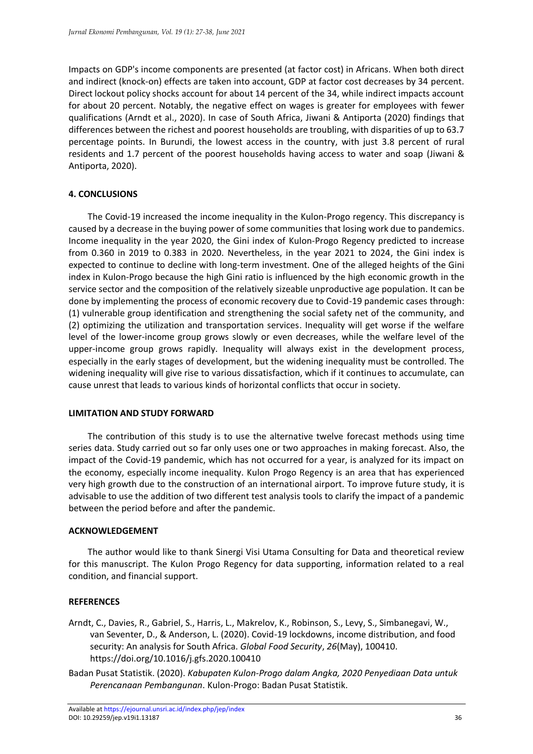Impacts on GDP's income components are presented (at factor cost) in Africans. When both direct and indirect (knock-on) effects are taken into account, GDP at factor cost decreases by 34 percent. Direct lockout policy shocks account for about 14 percent of the 34, while indirect impacts account for about 20 percent. Notably, the negative effect on wages is greater for employees with fewer qualifications (Arndt et al., 2020). In case of South Africa, Jiwani & Antiporta (2020) findings that differences between the richest and poorest households are troubling, with disparities of up to 63.7 percentage points. In Burundi, the lowest access in the country, with just 3.8 percent of rural residents and 1.7 percent of the poorest households having access to water and soap (Jiwani & Antiporta, 2020).

### **4. CONCLUSIONS**

The Covid-19 increased the income inequality in the Kulon-Progo regency. This discrepancy is caused by a decrease in the buying power of some communities that losing work due to pandemics. Income inequality in the year 2020, the Gini index of Kulon-Progo Regency predicted to increase from 0.360 in 2019 to 0.383 in 2020. Nevertheless, in the year 2021 to 2024, the Gini index is expected to continue to decline with long-term investment. One of the alleged heights of the Gini index in Kulon-Progo because the high Gini ratio is influenced by the high economic growth in the service sector and the composition of the relatively sizeable unproductive age population. It can be done by implementing the process of economic recovery due to Covid-19 pandemic cases through: (1) vulnerable group identification and strengthening the social safety net of the community, and (2) optimizing the utilization and transportation services. Inequality will get worse if the welfare level of the lower-income group grows slowly or even decreases, while the welfare level of the upper-income group grows rapidly. Inequality will always exist in the development process, especially in the early stages of development, but the widening inequality must be controlled. The widening inequality will give rise to various dissatisfaction, which if it continues to accumulate, can cause unrest that leads to various kinds of horizontal conflicts that occur in society.

#### **LIMITATION AND STUDY FORWARD**

The contribution of this study is to use the alternative twelve forecast methods using time series data. Study carried out so far only uses one or two approaches in making forecast. Also, the impact of the Covid-19 pandemic, which has not occurred for a year, is analyzed for its impact on the economy, especially income inequality. Kulon Progo Regency is an area that has experienced very high growth due to the construction of an international airport. To improve future study, it is advisable to use the addition of two different test analysis tools to clarify the impact of a pandemic between the period before and after the pandemic.

#### **ACKNOWLEDGEMENT**

The author would like to thank Sinergi Visi Utama Consulting for Data and theoretical review for this manuscript. The Kulon Progo Regency for data supporting, information related to a real condition, and financial support.

#### **REFERENCES**

- Arndt, C., Davies, R., Gabriel, S., Harris, L., Makrelov, K., Robinson, S., Levy, S., Simbanegavi, W., van Seventer, D., & Anderson, L. (2020). Covid-19 lockdowns, income distribution, and food security: An analysis for South Africa. *Global Food Security*, *26*(May), 100410. https://doi.org/10.1016/j.gfs.2020.100410
- Badan Pusat Statistik. (2020). *Kabupaten Kulon-Progo dalam Angka, 2020 Penyediaan Data untuk Perencanaan Pembangunan*. Kulon-Progo: Badan Pusat Statistik.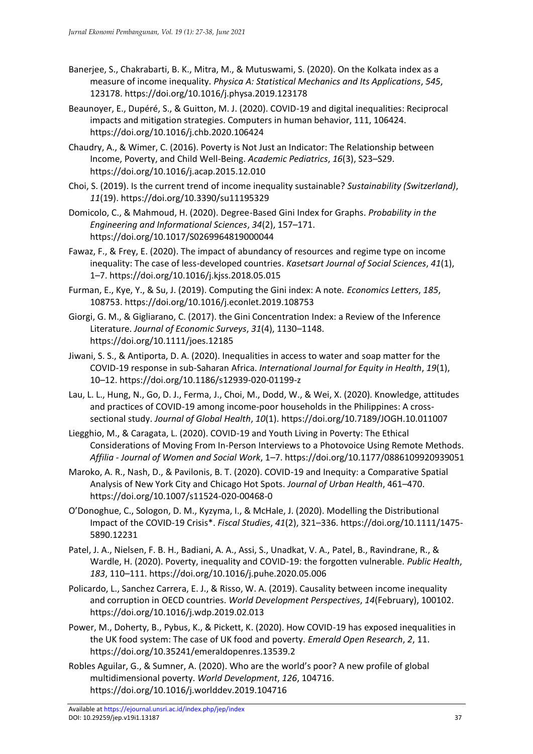- Banerjee, S., Chakrabarti, B. K., Mitra, M., & Mutuswami, S. (2020). On the Kolkata index as a measure of income inequality. *Physica A: Statistical Mechanics and Its Applications*, *545*, 123178. https://doi.org/10.1016/j.physa.2019.123178
- Beaunoyer, E., Dupéré, S., & Guitton, M. J. (2020). COVID-19 and digital inequalities: Reciprocal impacts and mitigation strategies. Computers in human behavior, 111, 106424. https://doi.org/10.1016/j.chb.2020.106424
- Chaudry, A., & Wimer, C. (2016). Poverty is Not Just an Indicator: The Relationship between Income, Poverty, and Child Well-Being. *Academic Pediatrics*, *16*(3), S23–S29. https://doi.org/10.1016/j.acap.2015.12.010
- Choi, S. (2019). Is the current trend of income inequality sustainable? *Sustainability (Switzerland)*, *11*(19). https://doi.org/10.3390/su11195329
- Domicolo, C., & Mahmoud, H. (2020). Degree-Based Gini Index for Graphs. *Probability in the Engineering and Informational Sciences*, *34*(2), 157–171. https://doi.org/10.1017/S0269964819000044
- Fawaz, F., & Frey, E. (2020). The impact of abundancy of resources and regime type on income inequality: The case of less-developed countries. *Kasetsart Journal of Social Sciences*, *41*(1), 1–7. https://doi.org/10.1016/j.kjss.2018.05.015
- Furman, E., Kye, Y., & Su, J. (2019). Computing the Gini index: A note. *Economics Letters*, *185*, 108753. https://doi.org/10.1016/j.econlet.2019.108753
- Giorgi, G. M., & Gigliarano, C. (2017). the Gini Concentration Index: a Review of the Inference Literature. *Journal of Economic Surveys*, *31*(4), 1130–1148. https://doi.org/10.1111/joes.12185
- Jiwani, S. S., & Antiporta, D. A. (2020). Inequalities in access to water and soap matter for the COVID-19 response in sub-Saharan Africa. *International Journal for Equity in Health*, *19*(1), 10–12. https://doi.org/10.1186/s12939-020-01199-z
- Lau, L. L., Hung, N., Go, D. J., Ferma, J., Choi, M., Dodd, W., & Wei, X. (2020). Knowledge, attitudes and practices of COVID-19 among income-poor households in the Philippines: A crosssectional study. *Journal of Global Health*, *10*(1). https://doi.org/10.7189/JOGH.10.011007
- Liegghio, M., & Caragata, L. (2020). COVID-19 and Youth Living in Poverty: The Ethical Considerations of Moving From In-Person Interviews to a Photovoice Using Remote Methods. *Affilia - Journal of Women and Social Work*, 1–7. https://doi.org/10.1177/0886109920939051
- Maroko, A. R., Nash, D., & Pavilonis, B. T. (2020). COVID-19 and Inequity: a Comparative Spatial Analysis of New York City and Chicago Hot Spots. *Journal of Urban Health*, 461–470. https://doi.org/10.1007/s11524-020-00468-0
- O'Donoghue, C., Sologon, D. M., Kyzyma, I., & McHale, J. (2020). Modelling the Distributional Impact of the COVID-19 Crisis\*. *Fiscal Studies*, *41*(2), 321–336. https://doi.org/10.1111/1475- 5890.12231
- Patel, J. A., Nielsen, F. B. H., Badiani, A. A., Assi, S., Unadkat, V. A., Patel, B., Ravindrane, R., & Wardle, H. (2020). Poverty, inequality and COVID-19: the forgotten vulnerable. *Public Health*, *183*, 110–111. https://doi.org/10.1016/j.puhe.2020.05.006
- Policardo, L., Sanchez Carrera, E. J., & Risso, W. A. (2019). Causality between income inequality and corruption in OECD countries. *World Development Perspectives*, *14*(February), 100102. https://doi.org/10.1016/j.wdp.2019.02.013
- Power, M., Doherty, B., Pybus, K., & Pickett, K. (2020). How COVID-19 has exposed inequalities in the UK food system: The case of UK food and poverty. *Emerald Open Research*, *2*, 11. https://doi.org/10.35241/emeraldopenres.13539.2
- Robles Aguilar, G., & Sumner, A. (2020). Who are the world's poor? A new profile of global multidimensional poverty. *World Development*, *126*, 104716. https://doi.org/10.1016/j.worlddev.2019.104716